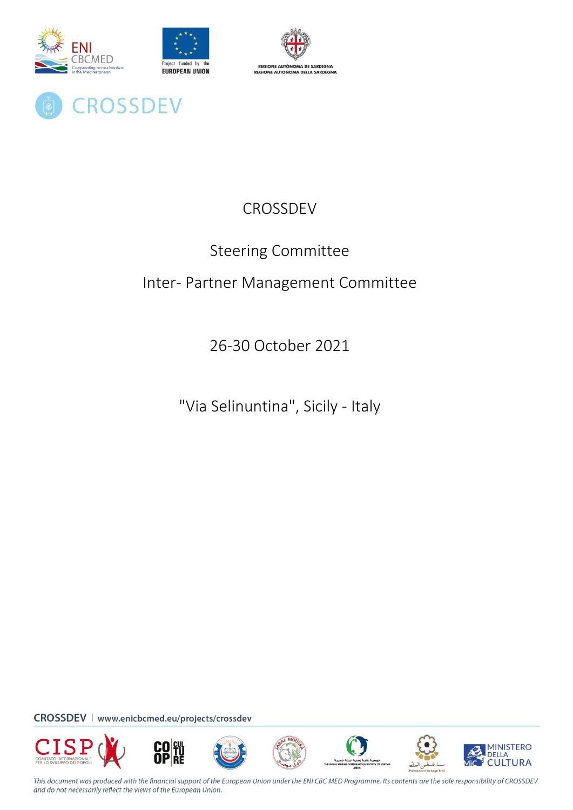

**CROSSDEV** 



# **CROSSDEV**

# Steering Committee

# Inter- Partner Management Committee

26-30 October 2021

"Via Selinuntina", Sicily - Italy

CROSSDEV | www.enicbcmed.eu/projects/crossdev















This document was produced with the financial support of the European Union under the ENI CBC MED Programme. Its contents are the sole responsibility of CROSSDEV and do not necessarily reflect the views of the European Union.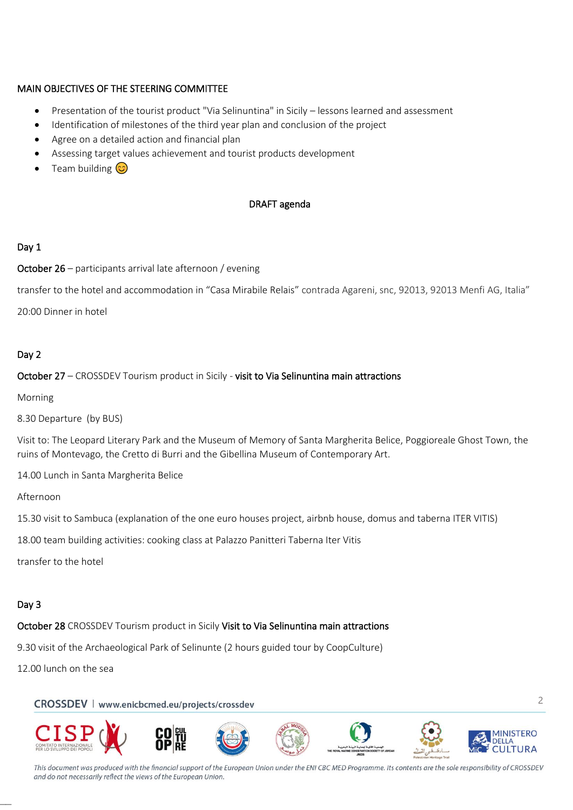# MAIN OBJECTIVES OF THE STEERING COMMITTEE

- Presentation of the tourist product "Via Selinuntina" in Sicily lessons learned and assessment
- Identification of milestones of the third year plan and conclusion of the project
- Agree on a detailed action and financial plan
- Assessing target values achievement and tourist products development
- Team building  $\circled{c}$

# DRAFT agenda

# Day 1

October 26 – participants arrival late afternoon / evening

transfer to the hotel and accommodation in "Casa Mirabile Relais" contrada Agareni, snc, 92013, 92013 Menfi AG, Italia"

20:00 Dinner in hotel

# Day 2

# October 27 – CROSSDEV Tourism product in Sicily - visit to Via Selinuntina main attractions

Morning

8.30 Departure (by BUS)

Visit to: The Leopard Literary Park and the Museum of Memory of Santa Margherita Belice, Poggioreale Ghost Town, the ruins of Montevago, the Cretto di Burri and the Gibellina Museum of Contemporary Art.

14.00 Lunch in Santa Margherita Belice

Afternoon

15.30 visit to Sambuca (explanation of the one euro houses project, airbnb house, domus and taberna ITER VITIS)

18.00 team building activities: cooking class at Palazzo Panitteri Taberna Iter Vitis

transfer to the hotel

# Day 3

––

October 28 CROSSDEV Tourism product in Sicily Visit to Via Selinuntina main attractions

9.30 visit of the Archaeological Park of Selinunte (2 hours guided tour by CoopCulture)

12.00 lunch on the sea

CROSSDEV | www.enicbcmed.eu/projects/crossdev



2

This document was produced with the financial support of the European Union under the ENI CBC MED Programme. Its contents are the sole responsibility of CROSSDEV and do not necessarily reflect the views of the European Union.